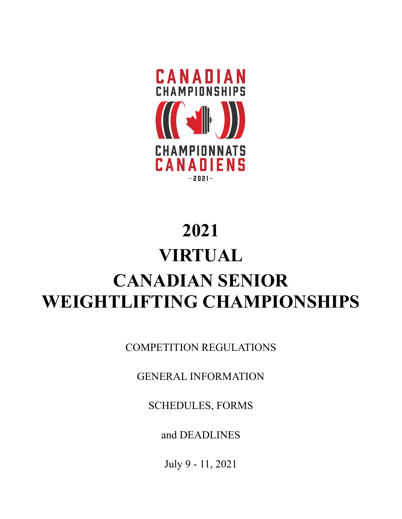

# **2021 VIRTUAL CANADIAN SENIOR WEIGHTLIFTING CHAMPIONSHIPS**

COMPETITION REGULATIONS

GENERAL INFORMATION

SCHEDULES, FORMS

and DEADLINES

July 9 - 11, 2021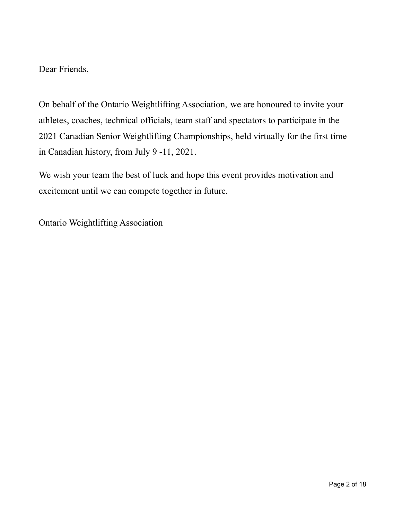Dear Friends,

On behalf of the Ontario Weightlifting Association, we are honoured to invite your athletes, coaches, technical officials, team staff and spectators to participate in the 2021 Canadian Senior Weightlifting Championships, held virtually for the first time in Canadian history, from July 9 -11, 2021.

We wish your team the best of luck and hope this event provides motivation and excitement until we can compete together in future.

Ontario Weightlifting Association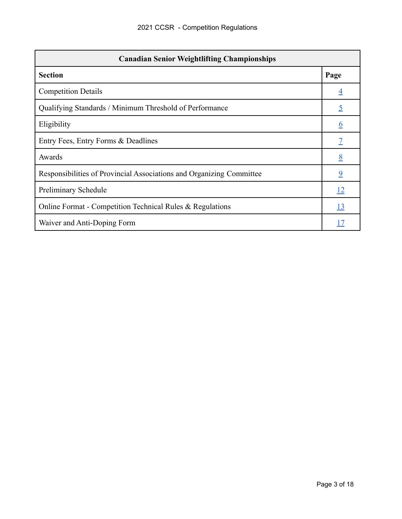| <b>Canadian Senior Weightlifting Championships</b>                   |                |  |  |  |
|----------------------------------------------------------------------|----------------|--|--|--|
| <b>Section</b>                                                       | Page           |  |  |  |
| <b>Competition Details</b>                                           | $\overline{4}$ |  |  |  |
| Qualifying Standards / Minimum Threshold of Performance              | <u>5</u>       |  |  |  |
| Eligibility                                                          | <u>6</u>       |  |  |  |
| Entry Fees, Entry Forms & Deadlines                                  |                |  |  |  |
| Awards                                                               | 8              |  |  |  |
| Responsibilities of Provincial Associations and Organizing Committee | $\overline{9}$ |  |  |  |
| Preliminary Schedule                                                 | <u>12</u>      |  |  |  |
| Online Format - Competition Technical Rules & Regulations            | <u>13</u>      |  |  |  |
| Waiver and Anti-Doping Form                                          |                |  |  |  |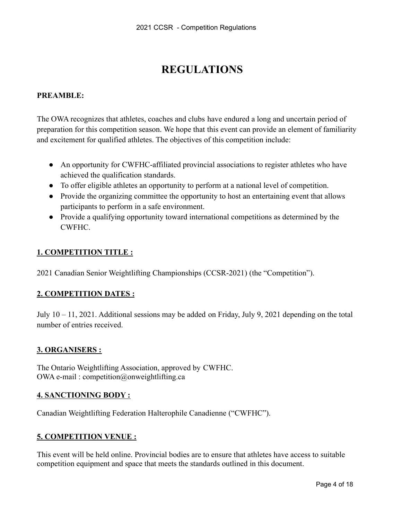# **REGULATIONS**

# <span id="page-3-0"></span>**PREAMBLE:**

The OWA recognizes that athletes, coaches and clubs have endured a long and uncertain period of preparation for this competition season. We hope that this event can provide an element of familiarity and excitement for qualified athletes. The objectives of this competition include:

- An opportunity for CWFHC-affiliated provincial associations to register athletes who have achieved the qualification standards.
- To offer eligible athletes an opportunity to perform at a national level of competition.
- Provide the organizing committee the opportunity to host an entertaining event that allows participants to perform in a safe environment.
- Provide a qualifying opportunity toward international competitions as determined by the CWFHC.

# **1. COMPETITION TITLE :**

2021 Canadian Senior Weightlifting Championships (CCSR-2021) (the "Competition").

# **2. COMPETITION DATES :**

July 10 – 11, 2021. Additional sessions may be added on Friday, July 9, 2021 depending on the total number of entries received.

# **3. ORGANISERS :**

The Ontario Weightlifting Association, approved by CWFHC. OWA e-mail : competition@onweightlifting.ca

# **4. SANCTIONING BODY :**

Canadian Weightlifting Federation Halterophile Canadienne ("CWFHC").

# **5. COMPETITION VENUE :**

This event will be held online. Provincial bodies are to ensure that athletes have access to suitable competition equipment and space that meets the standards outlined in this document.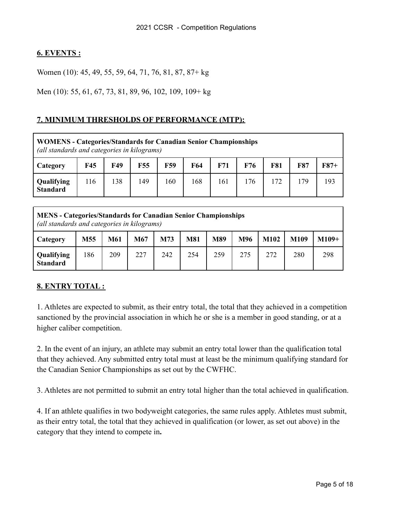# **6. EVENTS :**

Women (10): 45, 49, 55, 59, 64, 71, 76, 81, 87, 87+ kg

Men (10): 55, 61, 67, 73, 81, 89, 96, 102, 109, 109+ kg

# <span id="page-4-0"></span>**7. MINIMUM THRESHOLDS OF PERFORMANCE (MTP):**

**WOMENS - Categories/Standards for Canadian Senior Championships** *(all standards and categories in kilograms)*

| Category                      | <b>F45</b> | F49 | F55 | F59 | F64 | F71 | F76 | <b>F81</b> | F87 | $F87+$ |
|-------------------------------|------------|-----|-----|-----|-----|-----|-----|------------|-----|--------|
| Qualifying<br><b>Standard</b> | 116        | 138 | 149 | 160 | 168 | 161 | 76  | 72         | 79  | 193    |

**MENS - Categories/Standards for Canadian Senior Championships** *(all standards and categories in kilograms)*

| Category                      | M55 | M61 | M67 | M73 | <b>M81</b> | M89 | M96 | <b>M102</b> | M109 | $M109+$ |
|-------------------------------|-----|-----|-----|-----|------------|-----|-----|-------------|------|---------|
| Qualifying<br><b>Standard</b> | 86  | 209 | 227 | 242 | 254        | 259 | 275 | 272         | 280  | 298     |

# **8. ENTRY TOTAL :**

1. Athletes are expected to submit, as their entry total, the total that they achieved in a competition sanctioned by the provincial association in which he or she is a member in good standing, or at a higher caliber competition.

2. In the event of an injury, an athlete may submit an entry total lower than the qualification total that they achieved. Any submitted entry total must at least be the minimum qualifying standard for the Canadian Senior Championships as set out by the CWFHC.

3. Athletes are not permitted to submit an entry total higher than the total achieved in qualification.

4. If an athlete qualifies in two bodyweight categories, the same rules apply. Athletes must submit, as their entry total, the total that they achieved in qualification (or lower, as set out above) in the category that they intend to compete in**.**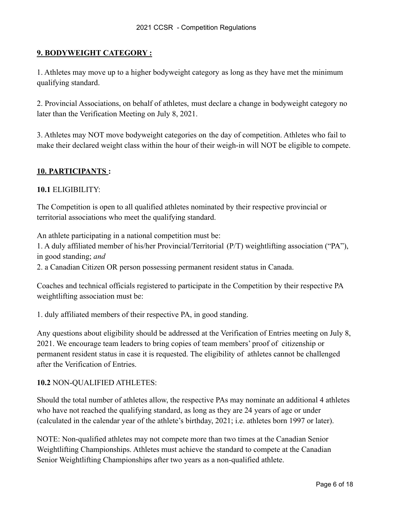# **9. BODYWEIGHT CATEGORY :**

1. Athletes may move up to a higher bodyweight category as long as they have met the minimum qualifying standard.

2. Provincial Associations, on behalf of athletes, must declare a change in bodyweight category no later than the Verification Meeting on July 8, 2021.

3. Athletes may NOT move bodyweight categories on the day of competition. Athletes who fail to make their declared weight class within the hour of their weigh-in will NOT be eligible to compete.

# <span id="page-5-0"></span>**10. PARTICIPANTS :**

# **10.1** ELIGIBILITY:

The Competition is open to all qualified athletes nominated by their respective provincial or territorial associations who meet the qualifying standard.

An athlete participating in a national competition must be:

1. A duly affiliated member of his/her Provincial/Territorial (P/T) weightlifting association ("PA"), in good standing; *and*

2. a Canadian Citizen OR person possessing permanent resident status in Canada.

Coaches and technical officials registered to participate in the Competition by their respective PA weightlifting association must be:

1. duly affiliated members of their respective PA, in good standing.

Any questions about eligibility should be addressed at the Verification of Entries meeting on July 8, 2021. We encourage team leaders to bring copies of team members' proof of citizenship or permanent resident status in case it is requested. The eligibility of athletes cannot be challenged after the Verification of Entries.

# **10.2** NON-QUALIFIED ATHLETES:

Should the total number of athletes allow, the respective PAs may nominate an additional 4 athletes who have not reached the qualifying standard, as long as they are 24 years of age or under (calculated in the calendar year of the athlete's birthday, 2021; i.e. athletes born 1997 or later).

NOTE: Non-qualified athletes may not compete more than two times at the Canadian Senior Weightlifting Championships. Athletes must achieve the standard to compete at the Canadian Senior Weightlifting Championships after two years as a non-qualified athlete.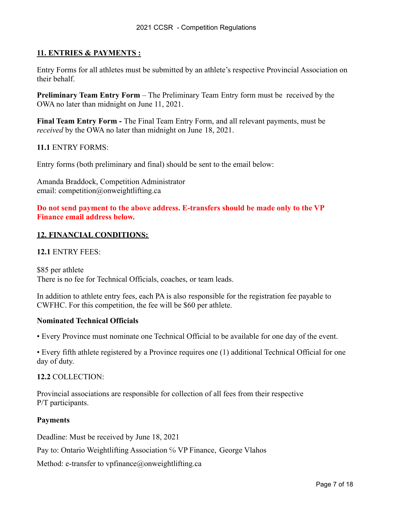# <span id="page-6-0"></span>**11. ENTRIES & PAYMENTS :**

Entry Forms for all athletes must be submitted by an athlete's respective Provincial Association on their behalf.

**Preliminary Team Entry Form** – The Preliminary Team Entry form must be received by the OWA no later than midnight on June 11, 2021.

**Final Team Entry Form -** The Final Team Entry Form, and all relevant payments, must be *received* by the OWA no later than midnight on June 18, 2021.

### **11.1** ENTRY FORMS:

Entry forms (both preliminary and final) should be sent to the email below:

Amanda Braddock, Competition Administrator email: competition@onweightlifting.ca

**Do not send payment to the above address. E-transfers should be made only to the VP Finance email address below.**

### **12. FINANCIAL CONDITIONS:**

**12.1** ENTRY FEES:

\$85 per athlete There is no fee for Technical Officials, coaches, or team leads.

In addition to athlete entry fees, each PA is also responsible for the registration fee payable to CWFHC. For this competition, the fee will be \$60 per athlete.

### **Nominated Technical Officials**

• Every Province must nominate one Technical Official to be available for one day of the event.

• Every fifth athlete registered by a Province requires one (1) additional Technical Official for one day of duty.

### **12.2** COLLECTION:

Provincial associations are responsible for collection of all fees from their respective P/T participants.

### **Payments**

Deadline: Must be received by June 18, 2021

Pay to: Ontario Weightlifting Association % VP Finance, George Vlahos

Method: e-transfer to vpfinance@onweightlifting.ca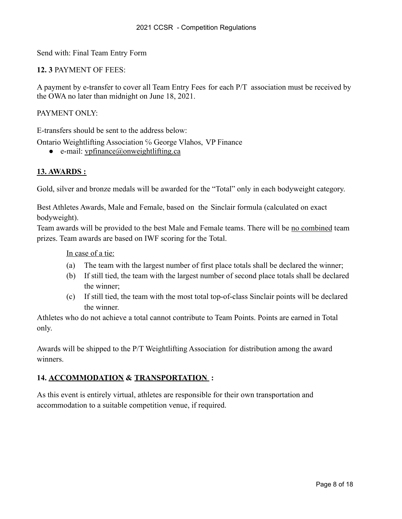Send with: Final Team Entry Form

# **12. 3** PAYMENT OF FEES:

A payment by e-transfer to cover all Team Entry Fees for each P/T association must be received by the OWA no later than midnight on June 18, 2021.

# PAYMENT ONLY·

E-transfers should be sent to the address below:

Ontario Weightlifting Association ℅ George Vlahos, VP Finance

 $\bullet$  e-mail: vpfinance@onweightlifting.ca

# <span id="page-7-0"></span>**13. AWARDS :**

Gold, silver and bronze medals will be awarded for the "Total" only in each bodyweight category.

Best Athletes Awards, Male and Female, based on the Sinclair formula (calculated on exact bodyweight).

Team awards will be provided to the best Male and Female teams. There will be no combined team prizes. Team awards are based on IWF scoring for the Total.

### In case of a tie:

- (a) The team with the largest number of first place totals shall be declared the winner;
- (b) If still tied, the team with the largest number of second place totals shall be declared the winner;
- (c) If still tied, the team with the most total top-of-class Sinclair points will be declared the winner.

Athletes who do not achieve a total cannot contribute to Team Points. Points are earned in Total only.

Awards will be shipped to the P/T Weightlifting Association for distribution among the award winners.

# **14. ACCOMMODATION & TRANSPORTATION :**

As this event is entirely virtual, athletes are responsible for their own transportation and accommodation to a suitable competition venue, if required.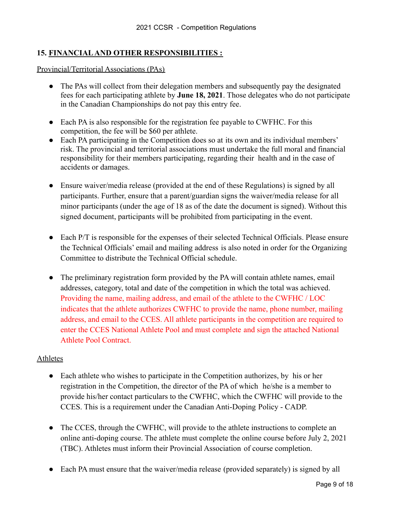# <span id="page-8-0"></span>**15. FINANCIALAND OTHER RESPONSIBILITIES :**

Provincial/Territorial Associations (PAs)

- The PAs will collect from their delegation members and subsequently pay the designated fees for each participating athlete by **June 18, 2021**. Those delegates who do not participate in the Canadian Championships do not pay this entry fee.
- Each PA is also responsible for the registration fee payable to CWFHC. For this competition, the fee will be \$60 per athlete.
- Each PA participating in the Competition does so at its own and its individual members' risk. The provincial and territorial associations must undertake the full moral and financial responsibility for their members participating, regarding their health and in the case of accidents or damages.
- Ensure waiver/media release (provided at the end of these Regulations) is signed by all participants. Further, ensure that a parent/guardian signs the waiver/media release for all minor participants (under the age of 18 as of the date the document is signed). Without this signed document, participants will be prohibited from participating in the event.
- Each P/T is responsible for the expenses of their selected Technical Officials. Please ensure the Technical Officials' email and mailing address is also noted in order for the Organizing Committee to distribute the Technical Official schedule.
- The preliminary registration form provided by the PA will contain athlete names, email addresses, category, total and date of the competition in which the total was achieved. Providing the name, mailing address, and email of the athlete to the CWFHC / LOC indicates that the athlete authorizes CWFHC to provide the name, phone number, mailing address, and email to the CCES. All athlete participants in the competition are required to enter the CCES National Athlete Pool and must complete and sign the attached National Athlete Pool Contract.

# Athletes

- Each athlete who wishes to participate in the Competition authorizes, by his or her registration in the Competition, the director of the PA of which he/she is a member to provide his/her contact particulars to the CWFHC, which the CWFHC will provide to the CCES. This is a requirement under the Canadian Anti-Doping Policy - CADP.
- The CCES, through the CWFHC, will provide to the athlete instructions to complete an online anti-doping course. The athlete must complete the online course before July 2, 2021 (TBC). Athletes must inform their Provincial Association of course completion.
- Each PA must ensure that the waiver/media release (provided separately) is signed by all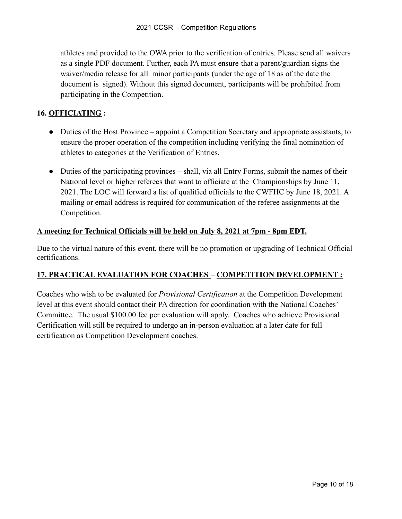athletes and provided to the OWA prior to the verification of entries. Please send all waivers as a single PDF document. Further, each PA must ensure that a parent/guardian signs the waiver/media release for all minor participants (under the age of 18 as of the date the document is signed). Without this signed document, participants will be prohibited from participating in the Competition.

# **16. OFFICIATING :**

- Duties of the Host Province appoint a Competition Secretary and appropriate assistants, to ensure the proper operation of the competition including verifying the final nomination of athletes to categories at the Verification of Entries.
- Duties of the participating provinces shall, via all Entry Forms, submit the names of their National level or higher referees that want to officiate at the Championships by June 11, 2021. The LOC will forward a list of qualified officials to the CWFHC by June 18, 2021. A mailing or email address is required for communication of the referee assignments at the Competition.

# **A meeting for Technical Officials will be held on July 8, 2021 at 7pm - 8pm EDT.**

Due to the virtual nature of this event, there will be no promotion or upgrading of Technical Official certifications.

# **17. PRACTICAL EVALUATION FOR COACHES** – **COMPETITION DEVELOPMENT :**

Coaches who wish to be evaluated for *Provisional Certification* at the Competition Development level at this event should contact their PA direction for coordination with the National Coaches' Committee. The usual \$100.00 fee per evaluation will apply. Coaches who achieve Provisional Certification will still be required to undergo an in-person evaluation at a later date for full certification as Competition Development coaches.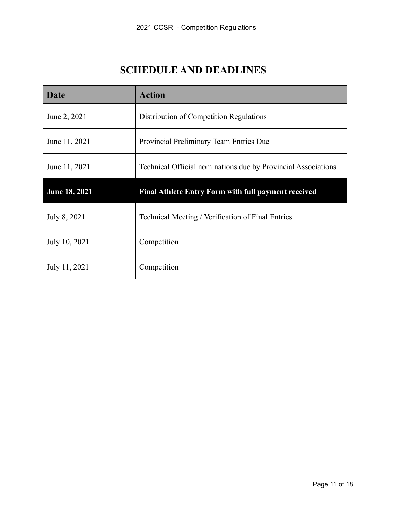# **SCHEDULE AND DEADLINES**

| Date                 | <b>Action</b>                                                 |
|----------------------|---------------------------------------------------------------|
| June 2, 2021         | Distribution of Competition Regulations                       |
| June 11, 2021        | Provincial Preliminary Team Entries Due                       |
| June 11, 2021        | Technical Official nominations due by Provincial Associations |
| <b>June 18, 2021</b> | <b>Final Athlete Entry Form with full payment received</b>    |
| July 8, 2021         | Technical Meeting / Verification of Final Entries             |
| July 10, 2021        | Competition                                                   |
| July 11, 2021        | Competition                                                   |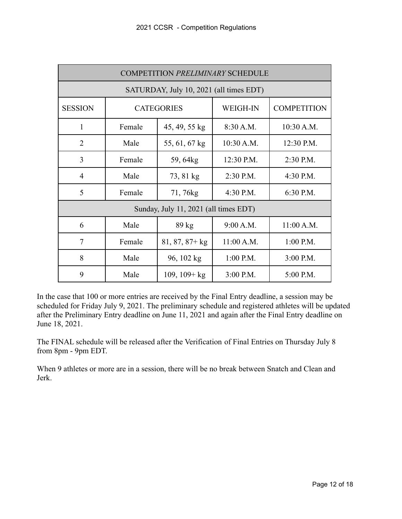<span id="page-11-0"></span>

| <b>COMPETITION PRELIMINARY SCHEDULE</b> |                                         |                 |                 |                    |  |  |  |
|-----------------------------------------|-----------------------------------------|-----------------|-----------------|--------------------|--|--|--|
|                                         | SATURDAY, July 10, 2021 (all times EDT) |                 |                 |                    |  |  |  |
| <b>SESSION</b>                          | <b>CATEGORIES</b>                       |                 | <b>WEIGH-IN</b> | <b>COMPETITION</b> |  |  |  |
| $\mathbf{1}$                            | Female                                  | 45, 49, 55 kg   | 8:30 A.M.       | 10:30 A.M.         |  |  |  |
| $\overline{2}$                          | Male                                    | 55, 61, 67 kg   | $10:30$ A.M.    | 12:30 P.M.         |  |  |  |
| 3                                       | Female                                  | 59, 64kg        | 12:30 P.M.      | 2:30 P.M.          |  |  |  |
| $\overline{4}$                          | Male                                    | 73, 81 kg       | 2:30 P.M.       | 4:30 P.M.          |  |  |  |
| 5                                       | Female                                  | 71,76kg         | 4:30 P.M.       | 6:30 P.M.          |  |  |  |
| Sunday, July 11, 2021 (all times EDT)   |                                         |                 |                 |                    |  |  |  |
| 6                                       | Male                                    | $89 \text{ kg}$ | 9:00 A.M.       | 11:00 A.M.         |  |  |  |
| $\overline{7}$                          | Female                                  | $81, 87, 87+kg$ | 11:00 A.M.      | $1:00$ P.M.        |  |  |  |
| 8                                       | Male                                    | 96, 102 kg      | $1:00$ P.M.     | 3:00 P.M.          |  |  |  |
| 9                                       | Male                                    | $109, 109 + kg$ | 3:00 P.M.       | 5:00 P.M.          |  |  |  |

In the case that 100 or more entries are received by the Final Entry deadline, a session may be scheduled for Friday July 9, 2021. The preliminary schedule and registered athletes will be updated after the Preliminary Entry deadline on June 11, 2021 and again after the Final Entry deadline on June 18, 2021.

The FINAL schedule will be released after the Verification of Final Entries on Thursday July 8 from 8pm - 9pm EDT.

When 9 athletes or more are in a session, there will be no break between Snatch and Clean and Jerk.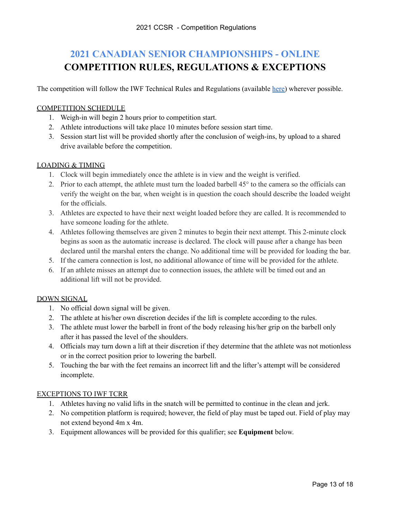# <span id="page-12-0"></span>**2021 CANADIAN SENIOR CHAMPIONSHIPS - ONLINE COMPETITION RULES, REGULATIONS & EXCEPTIONS**

The competition will follow the IWF Technical Rules and Regulations (available [here\)](https://dfc25e69-2758-4ddc-9214-ddd525cc4587.filesusr.com/ugd/3b5e14_b57e0131f0584b5aa4292c315d80938f.pdf) wherever possible.

### COMPETITION SCHEDULE

- 1. Weigh-in will begin 2 hours prior to competition start.
- 2. Athlete introductions will take place 10 minutes before session start time.
- 3. Session start list will be provided shortly after the conclusion of weigh-ins, by upload to a shared drive available before the competition.

### LOADING & TIMING

- 1. Clock will begin immediately once the athlete is in view and the weight is verified.
- 2. Prior to each attempt, the athlete must turn the loaded barbell 45° to the camera so the officials can verify the weight on the bar, when weight is in question the coach should describe the loaded weight for the officials.
- 3. Athletes are expected to have their next weight loaded before they are called. It is recommended to have someone loading for the athlete.
- 4. Athletes following themselves are given 2 minutes to begin their next attempt. This 2-minute clock begins as soon as the automatic increase is declared. The clock will pause after a change has been declared until the marshal enters the change. No additional time will be provided for loading the bar.
- 5. If the camera connection is lost, no additional allowance of time will be provided for the athlete.
- 6. If an athlete misses an attempt due to connection issues, the athlete will be timed out and an additional lift will not be provided.

### DOWN SIGNAL

- 1. No official down signal will be given.
- 2. The athlete at his/her own discretion decides if the lift is complete according to the rules.
- 3. The athlete must lower the barbell in front of the body releasing his/her grip on the barbell only after it has passed the level of the shoulders.
- 4. Officials may turn down a lift at their discretion if they determine that the athlete was not motionless or in the correct position prior to lowering the barbell.
- 5. Touching the bar with the feet remains an incorrect lift and the lifter's attempt will be considered incomplete.

### EXCEPTIONS TO IWF TCRR

- 1. Athletes having no valid lifts in the snatch will be permitted to continue in the clean and jerk.
- 2. No competition platform is required; however, the field of play must be taped out. Field of play may not extend beyond 4m x 4m.
- 3. Equipment allowances will be provided for this qualifier; see **Equipment** below.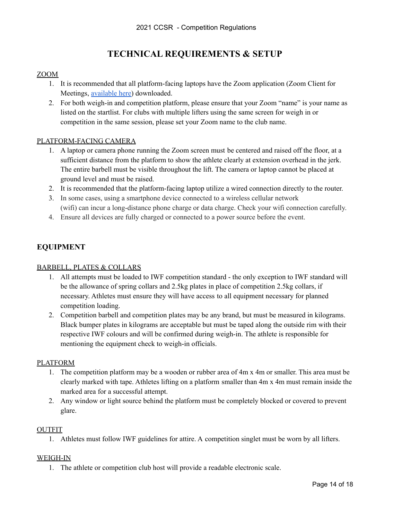# **TECHNICAL REQUIREMENTS & SETUP**

### ZOOM

- 1. It is recommended that all platform-facing laptops have the Zoom application (Zoom Client for Meetings, [available](https://zoom.us/download) here) downloaded.
- 2. For both weigh-in and competition platform, please ensure that your Zoom "name" is your name as listed on the startlist. For clubs with multiple lifters using the same screen for weigh in or competition in the same session, please set your Zoom name to the club name.

### PLATFORM-FACING CAMERA

- 1. A laptop or camera phone running the Zoom screen must be centered and raised off the floor, at a sufficient distance from the platform to show the athlete clearly at extension overhead in the jerk. The entire barbell must be visible throughout the lift. The camera or laptop cannot be placed at ground level and must be raised.
- 2. It is recommended that the platform-facing laptop utilize a wired connection directly to the router.
- 3. In some cases, using a smartphone device connected to a wireless cellular network (wifi) can incur a long-distance phone charge or data charge. Check your wifi connection carefully.
- 4. Ensure all devices are fully charged or connected to a power source before the event.

# **EQUIPMENT**

### BARBELL, PLATES & COLLARS

- 1. All attempts must be loaded to IWF competition standard the only exception to IWF standard will be the allowance of spring collars and 2.5kg plates in place of competition 2.5kg collars, if necessary. Athletes must ensure they will have access to all equipment necessary for planned competition loading.
- 2. Competition barbell and competition plates may be any brand, but must be measured in kilograms. Black bumper plates in kilograms are acceptable but must be taped along the outside rim with their respective IWF colours and will be confirmed during weigh-in. The athlete is responsible for mentioning the equipment check to weigh-in officials.

### PLATFORM

- 1. The competition platform may be a wooden or rubber area of 4m x 4m or smaller. This area must be clearly marked with tape. Athletes lifting on a platform smaller than 4m x 4m must remain inside the marked area for a successful attempt.
- 2. Any window or light source behind the platform must be completely blocked or covered to prevent glare.

### OUTFIT

1. Athletes must follow IWF guidelines for attire. A competition singlet must be worn by all lifters.

### WEIGH-IN

1. The athlete or competition club host will provide a readable electronic scale.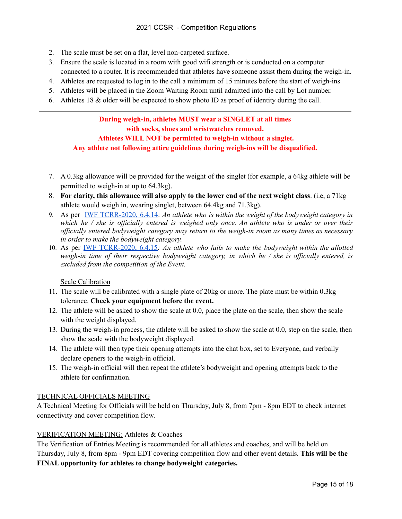- 2. The scale must be set on a flat, level non-carpeted surface.
- 3. Ensure the scale is located in a room with good wifi strength or is conducted on a computer connected to a router. It is recommended that athletes have someone assist them during the weigh-in.
- 4. Athletes are requested to log in to the call a minimum of 15 minutes before the start of weigh-ins
- 5. Athletes will be placed in the Zoom Waiting Room until admitted into the call by Lot number.
- 6. Athletes 18 & older will be expected to show photo ID as proof of identity during the call.

# **During weigh-in, athletes MUST wear a SINGLET at all times with socks, shoes and wristwatches removed. Athletes WILL NOT be permitted to weigh-in without a singlet. Any athlete not following attire guidelines during weigh-ins will be disqualified.**

- 7. A 0.3kg allowance will be provided for the weight of the singlet (for example, a 64kg athlete will be permitted to weigh-in at up to 64.3kg).
- 8. **For clarity, this allowance will also apply to the lower end of the next weight class**. (i.e, a 71kg athlete would weigh in, wearing singlet, between 64.4kg and 71.3kg).
- 9. As per IWF [TCRR-2020,](https://dfc25e69-2758-4ddc-9214-ddd525cc4587.filesusr.com/ugd/3b5e14_b57e0131f0584b5aa4292c315d80938f.pdf) 6.4.14: *An athlete who is within the weight of the bodyweight category in* which he  $\ell$  she is officially entered is weighed only once. An athlete who is under or over their *of icially entered bodyweight category may return to the weigh-in room as many times as necessary in order to make the bodyweight category.*
- 10. As per IWF [TCRR-2020,](https://dfc25e69-2758-4ddc-9214-ddd525cc4587.filesusr.com/ugd/3b5e14_b57e0131f0584b5aa4292c315d80938f.pdf) 6.4.15*: An athlete who fails to make the bodyweight within the allotted weigh-in time of their respective bodyweight category, in which he / she is of icially entered, is excluded from the competition of the Event.*

### Scale Calibration

- 11. The scale will be calibrated with a single plate of 20kg or more. The plate must be within 0.3kg tolerance. **Check your equipment before the event.**
- 12. The athlete will be asked to show the scale at 0.0, place the plate on the scale, then show the scale with the weight displayed.
- 13. During the weigh-in process, the athlete will be asked to show the scale at 0.0, step on the scale, then show the scale with the bodyweight displayed.
- 14. The athlete will then type their opening attempts into the chat box, set to Everyone, and verbally declare openers to the weigh-in official.
- 15. The weigh-in official will then repeat the athlete's bodyweight and opening attempts back to the athlete for confirmation.

### TECHNICAL OFFICIALS MEETING

A Technical Meeting for Officials will be held on Thursday, July 8, from 7pm - 8pm EDT to check internet connectivity and cover competition flow.

### VERIFICATION MEETING: Athletes & Coaches

The Verification of Entries Meeting is recommended for all athletes and coaches, and will be held on Thursday, July 8, from 8pm - 9pm EDT covering competition flow and other event details. **This will be the FINAL opportunity for athletes to change bodyweight categories.**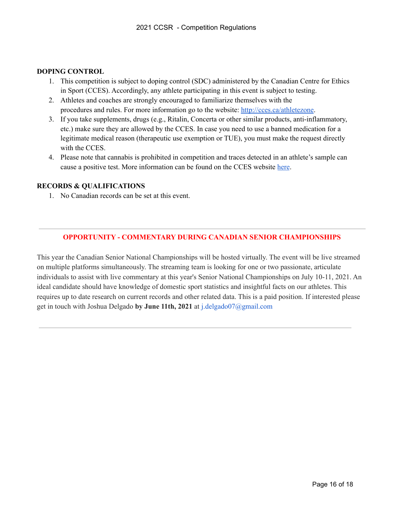### **DOPING CONTROL**

- 1. This competition is subject to doping control (SDC) administered by the Canadian Centre for Ethics in Sport (CCES). Accordingly, any athlete participating in this event is subject to testing.
- 2. Athletes and coaches are strongly encouraged to familiarize themselves with the procedures and rules. For more information go to the website: <http://cces.ca/athletezone>.
- 3. If you take supplements, drugs (e.g., Ritalin, Concerta or other similar products, anti-inflammatory, etc.) make sure they are allowed by the CCES. In case you need to use a banned medication for a legitimate medical reason (therapeutic use exemption or TUE), you must make the request directly with the CCES.
- 4. Please note that cannabis is prohibited in competition and traces detected in an athlete's sample can cause a positive test. More information can be found on the CCES website [here](https://cces.ca/cannabis).

### **RECORDS & QUALIFICATIONS**

1. No Canadian records can be set at this event.

# **OPPORTUNITY - COMMENTARY DURING CANADIAN SENIOR CHAMPIONSHIPS**

This year the Canadian Senior National Championships will be hosted virtually. The event will be live streamed on multiple platforms simultaneously. The streaming team is looking for one or two passionate, articulate individuals to assist with live commentary at this year's Senior National Championships on July 10-11, 2021. An ideal candidate should have knowledge of domestic sport statistics and insightful facts on our athletes. This requires up to date research on current records and other related data. This is a paid position. If interested please get in touch with Joshua Delgado **by June 11th, 2021** at j.delgado07@gmail.com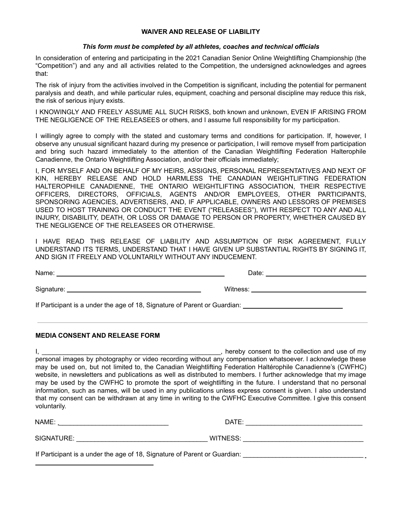### **WAIVER AND RELEASE OF LIABILITY**

### *This form must be completed by all athletes, coaches and technical officials*

<span id="page-16-0"></span>In consideration of entering and participating in the 2021 Canadian Senior Online Weightlifting Championship (the "Competition") and any and all activities related to the Competition, the undersigned acknowledges and agrees that:

The risk of injury from the activities involved in the Competition is significant, including the potential for permanent paralysis and death, and while particular rules, equipment, coaching and personal discipline may reduce this risk, the risk of serious injury exists.

I KNOWINGLY AND FREELY ASSUME ALL SUCH RISKS, both known and unknown, EVEN IF ARISING FROM THE NEGLIGENCE OF THE RELEASEES or others, and I assume full responsibility for my participation.

I willingly agree to comply with the stated and customary terms and conditions for participation. If, however, I observe any unusual significant hazard during my presence or participation, I will remove myself from participation and bring such hazard immediately to the attention of the Canadian Weightlifting Federation Halterophile Canadienne, the Ontario Weightlifting Association, and/or their officials immediately;

I, FOR MYSELF AND ON BEHALF OF MY HEIRS, ASSIGNS, PERSONAL REPRESENTATIVES AND NEXT OF KIN, HEREBY RELEASE AND HOLD HARMLESS THE CANADIAN WEIGHTLIFTING FEDERATION HALTEROPHILE CANADIENNE, THE ONTARIO WEIGHTLIFTING ASSOCIATION, THEIR RESPECTIVE OFFICERS, DIRECTORS, OFFICIALS, AGENTS AND/OR EMPLOYEES, OTHER PARTICIPANTS, SPONSORING AGENCIES, ADVERTISERS, AND, IF APPLICABLE, OWNERS AND LESSORS OF PREMISES USED TO HOST TRAINING OR CONDUCT THE EVENT ("RELEASEES"), WITH RESPECT TO ANY AND ALL INJURY, DISABILITY, DEATH, OR LOSS OR DAMAGE TO PERSON OR PROPERTY, WHETHER CAUSED BY THE NEGLIGENCE OF THE RELEASEES OR OTHERWISE.

I HAVE READ THIS RELEASE OF LIABILITY AND ASSUMPTION OF RISK AGREEMENT, FULLY UNDERSTAND ITS TERMS, UNDERSTAND THAT I HAVE GIVEN UP SUBSTANTIAL RIGHTS BY SIGNING IT, AND SIGN IT FREELY AND VOLUNTARILY WITHOUT ANY INDUCEMENT.

| If Participant is a under the age of 18, Signature of Parent or Guardian: ___________________________________ |  |
|---------------------------------------------------------------------------------------------------------------|--|

### **MEDIA CONSENT AND RELEASE FORM**

I, \_\_\_\_\_\_\_\_\_\_\_\_\_\_\_\_\_\_\_\_\_\_\_\_\_\_\_\_\_\_\_\_\_\_\_\_\_\_\_\_\_\_\_\_\_\_\_\_\_, hereby consent to the collection and use of my personal images by photography or video recording without any compensation whatsoever. I acknowledge these may be used on, but not limited to, the Canadian Weightlifting Federation Haltérophile Canadienne's (CWFHC) website, in newsletters and publications as well as distributed to members. I further acknowledge that my image may be used by the CWFHC to promote the sport of weightlifting in the future. I understand that no personal information, such as names, will be used in any publications unless express consent is given. I also understand that my consent can be withdrawn at any time in writing to the CWFHC Executive Committee. I give this consent voluntarily.

| NAME:                                                                     | DATE:    |  |  |  |  |
|---------------------------------------------------------------------------|----------|--|--|--|--|
| SIGNATURE:                                                                | WITNESS: |  |  |  |  |
| If Participant is a under the age of 18, Signature of Parent or Guardian: |          |  |  |  |  |